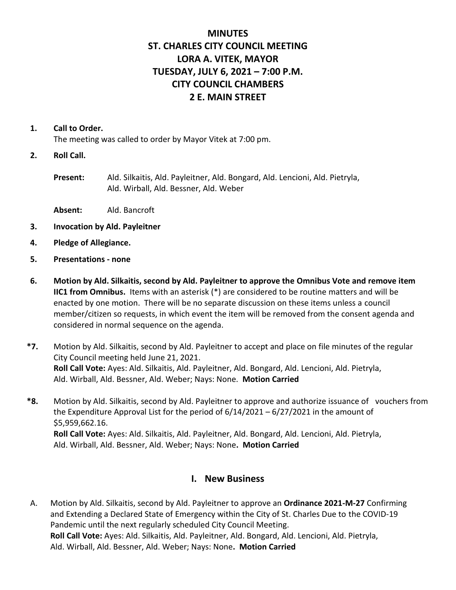# **MINUTES ST. CHARLES CITY COUNCIL MEETING LORA A. VITEK, MAYOR TUESDAY, JULY 6, 2021 – 7:00 P.M. CITY COUNCIL CHAMBERS 2 E. MAIN STREET**

#### **1. Call to Order.**

The meeting was called to order by Mayor Vitek at 7:00 pm.

**2. Roll Call.**

**Present:** Ald. Silkaitis, Ald. Payleitner, Ald. Bongard, Ald. Lencioni, Ald. Pietryla, Ald. Wirball, Ald. Bessner, Ald. Weber

- **Absent:** Ald. Bancroft
- **3. Invocation by Ald. Payleitner**
- **4. Pledge of Allegiance.**
- **5. Presentations - none**
- **6. Motion by Ald. Silkaitis, second by Ald. Payleitner to approve the Omnibus Vote and remove item IIC1 from Omnibus.** Items with an asterisk (\*) are considered to be routine matters and will be enacted by one motion. There will be no separate discussion on these items unless a council member/citizen so requests, in which event the item will be removed from the consent agenda and considered in normal sequence on the agenda.
- **\*7.** Motion by Ald. Silkaitis, second by Ald. Payleitner to accept and place on file minutes of the regular City Council meeting held June 21, 2021. **Roll Call Vote:** Ayes: Ald. Silkaitis, Ald. Payleitner, Ald. Bongard, Ald. Lencioni, Ald. Pietryla, Ald. Wirball, Ald. Bessner, Ald. Weber; Nays: None. **Motion Carried**
- **\*8.** Motion by Ald. Silkaitis, second by Ald. Payleitner to approve and authorize issuance of vouchers from the Expenditure Approval List for the period of 6/14/2021 – 6/27/2021 in the amount of \$5,959,662.16. **Roll Call Vote:** Ayes: Ald. Silkaitis, Ald. Payleitner, Ald. Bongard, Ald. Lencioni, Ald. Pietryla, Ald. Wirball, Ald. Bessner, Ald. Weber; Nays: None**. Motion Carried**

## **I. New Business**

A. Motion by Ald. Silkaitis, second by Ald. Payleitner to approve an **Ordinance 2021-M-27** Confirming and Extending a Declared State of Emergency within the City of St. Charles Due to the COVID-19 Pandemic until the next regularly scheduled City Council Meeting. **Roll Call Vote:** Ayes: Ald. Silkaitis, Ald. Payleitner, Ald. Bongard, Ald. Lencioni, Ald. Pietryla, Ald. Wirball, Ald. Bessner, Ald. Weber; Nays: None**. Motion Carried**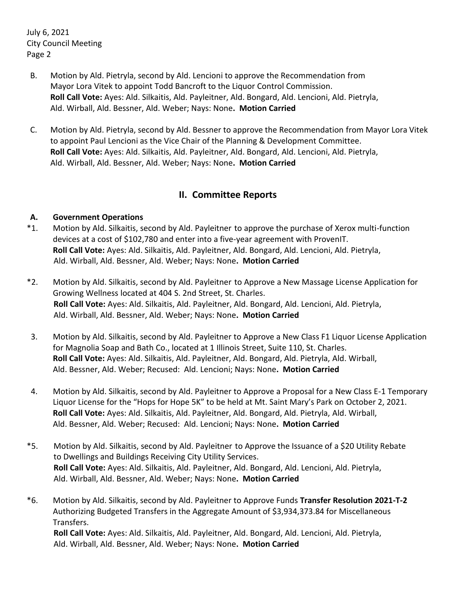July 6, 2021 City Council Meeting Page 2

- B. Motion by Ald. Pietryla, second by Ald. Lencioni to approve the Recommendation from Mayor Lora Vitek to appoint Todd Bancroft to the Liquor Control Commission. **Roll Call Vote:** Ayes: Ald. Silkaitis, Ald. Payleitner, Ald. Bongard, Ald. Lencioni, Ald. Pietryla, Ald. Wirball, Ald. Bessner, Ald. Weber; Nays: None**. Motion Carried**
- C. Motion by Ald. Pietryla, second by Ald. Bessner to approve the Recommendation from Mayor Lora Vitek to appoint Paul Lencioni as the Vice Chair of the Planning & Development Committee. **Roll Call Vote:** Ayes: Ald. Silkaitis, Ald. Payleitner, Ald. Bongard, Ald. Lencioni, Ald. Pietryla, Ald. Wirball, Ald. Bessner, Ald. Weber; Nays: None**. Motion Carried**

# **II. Committee Reports**

### **A. Government Operations**

- \*1. Motion by Ald. Silkaitis, second by Ald. Payleitner to approve the purchase of Xerox multi-function devices at a cost of \$102,780 and enter into a five-year agreement with ProvenIT. **Roll Call Vote:** Ayes: Ald. Silkaitis, Ald. Payleitner, Ald. Bongard, Ald. Lencioni, Ald. Pietryla, Ald. Wirball, Ald. Bessner, Ald. Weber; Nays: None**. Motion Carried**
- \*2. Motion by Ald. Silkaitis, second by Ald. Payleitner to Approve a New Massage License Application for Growing Wellness located at 404 S. 2nd Street, St. Charles. **Roll Call Vote:** Ayes: Ald. Silkaitis, Ald. Payleitner, Ald. Bongard, Ald. Lencioni, Ald. Pietryla, Ald. Wirball, Ald. Bessner, Ald. Weber; Nays: None**. Motion Carried**
- 3. Motion by Ald. Silkaitis, second by Ald. Payleitner to Approve a New Class F1 Liquor License Application for Magnolia Soap and Bath Co., located at 1 Illinois Street, Suite 110, St. Charles. **Roll Call Vote:** Ayes: Ald. Silkaitis, Ald. Payleitner, Ald. Bongard, Ald. Pietryla, Ald. Wirball, Ald. Bessner, Ald. Weber; Recused: Ald. Lencioni; Nays: None**. Motion Carried**
- 4. Motion by Ald. Silkaitis, second by Ald. Payleitner to Approve a Proposal for a New Class E-1 Temporary Liquor License for the "Hops for Hope 5K" to be held at Mt. Saint Mary's Park on October 2, 2021. **Roll Call Vote:** Ayes: Ald. Silkaitis, Ald. Payleitner, Ald. Bongard, Ald. Pietryla, Ald. Wirball, Ald. Bessner, Ald. Weber; Recused: Ald. Lencioni; Nays: None**. Motion Carried**
- \*5. Motion by Ald. Silkaitis, second by Ald. Payleitner to Approve the Issuance of a \$20 Utility Rebate to Dwellings and Buildings Receiving City Utility Services. **Roll Call Vote:** Ayes: Ald. Silkaitis, Ald. Payleitner, Ald. Bongard, Ald. Lencioni, Ald. Pietryla, Ald. Wirball, Ald. Bessner, Ald. Weber; Nays: None**. Motion Carried**
- \*6. Motion by Ald. Silkaitis, second by Ald. Payleitner to Approve Funds **Transfer Resolution 2021-T-2** Authorizing Budgeted Transfers in the Aggregate Amount of \$3,934,373.84 for Miscellaneous Transfers. **Roll Call Vote:** Ayes: Ald. Silkaitis, Ald. Payleitner, Ald. Bongard, Ald. Lencioni, Ald. Pietryla, Ald. Wirball, Ald. Bessner, Ald. Weber; Nays: None**. Motion Carried**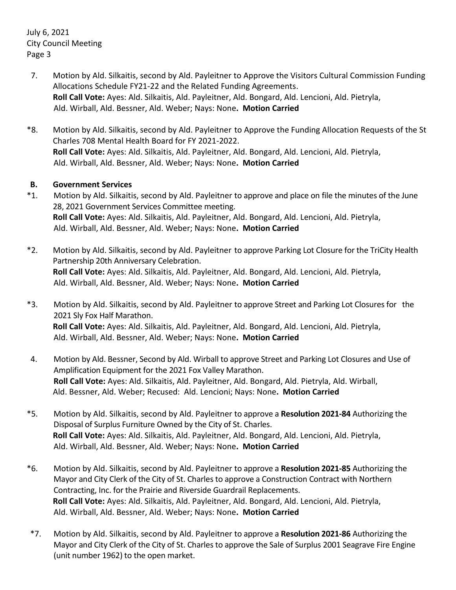July 6, 2021 City Council Meeting Page 3

- 7. Motion by Ald. Silkaitis, second by Ald. Payleitner to Approve the Visitors Cultural Commission Funding Allocations Schedule FY21-22 and the Related Funding Agreements. **Roll Call Vote:** Ayes: Ald. Silkaitis, Ald. Payleitner, Ald. Bongard, Ald. Lencioni, Ald. Pietryla, Ald. Wirball, Ald. Bessner, Ald. Weber; Nays: None**. Motion Carried**
- \*8. Motion by Ald. Silkaitis, second by Ald. Payleitner to Approve the Funding Allocation Requests of the St Charles 708 Mental Health Board for FY 2021-2022. **Roll Call Vote:** Ayes: Ald. Silkaitis, Ald. Payleitner, Ald. Bongard, Ald. Lencioni, Ald. Pietryla, Ald. Wirball, Ald. Bessner, Ald. Weber; Nays: None**. Motion Carried**

#### **B. Government Services**

- \*1. Motion by Ald. Silkaitis, second by Ald. Payleitner to approve and place on file the minutes of the June 28, 2021 Government Services Committee meeting. **Roll Call Vote:** Ayes: Ald. Silkaitis, Ald. Payleitner, Ald. Bongard, Ald. Lencioni, Ald. Pietryla, Ald. Wirball, Ald. Bessner, Ald. Weber; Nays: None**. Motion Carried**
- \*2. Motion by Ald. Silkaitis, second by Ald. Payleitner to approve Parking Lot Closure for the TriCity Health Partnership 20th Anniversary Celebration. **Roll Call Vote:** Ayes: Ald. Silkaitis, Ald. Payleitner, Ald. Bongard, Ald. Lencioni, Ald. Pietryla, Ald. Wirball, Ald. Bessner, Ald. Weber; Nays: None**. Motion Carried**
- \*3. Motion by Ald. Silkaitis, second by Ald. Payleitner to approve Street and Parking Lot Closures for the 2021 Sly Fox Half Marathon. **Roll Call Vote:** Ayes: Ald. Silkaitis, Ald. Payleitner, Ald. Bongard, Ald. Lencioni, Ald. Pietryla, Ald. Wirball, Ald. Bessner, Ald. Weber; Nays: None**. Motion Carried**
- 4. Motion by Ald. Bessner, Second by Ald. Wirball to approve Street and Parking Lot Closures and Use of Amplification Equipment for the 2021 Fox Valley Marathon. **Roll Call Vote:** Ayes: Ald. Silkaitis, Ald. Payleitner, Ald. Bongard, Ald. Pietryla, Ald. Wirball, Ald. Bessner, Ald. Weber; Recused: Ald. Lencioni; Nays: None**. Motion Carried**
- \*5. Motion by Ald. Silkaitis, second by Ald. Payleitner to approve a **Resolution 2021-84** Authorizing the Disposal of Surplus Furniture Owned by the City of St. Charles. **Roll Call Vote:** Ayes: Ald. Silkaitis, Ald. Payleitner, Ald. Bongard, Ald. Lencioni, Ald. Pietryla, Ald. Wirball, Ald. Bessner, Ald. Weber; Nays: None**. Motion Carried**
- \*6. Motion by Ald. Silkaitis, second by Ald. Payleitner to approve a **Resolution 2021-85** Authorizing the Mayor and City Clerk of the City of St. Charles to approve a Construction Contract with Northern Contracting, Inc. for the Prairie and Riverside Guardrail Replacements. **Roll Call Vote:** Ayes: Ald. Silkaitis, Ald. Payleitner, Ald. Bongard, Ald. Lencioni, Ald. Pietryla, Ald. Wirball, Ald. Bessner, Ald. Weber; Nays: None**. Motion Carried**
- \*7. Motion by Ald. Silkaitis, second by Ald. Payleitner to approve a **Resolution 2021-86** Authorizing the Mayor and City Clerk of the City of St. Charles to approve the Sale of Surplus 2001 Seagrave Fire Engine (unit number 1962) to the open market.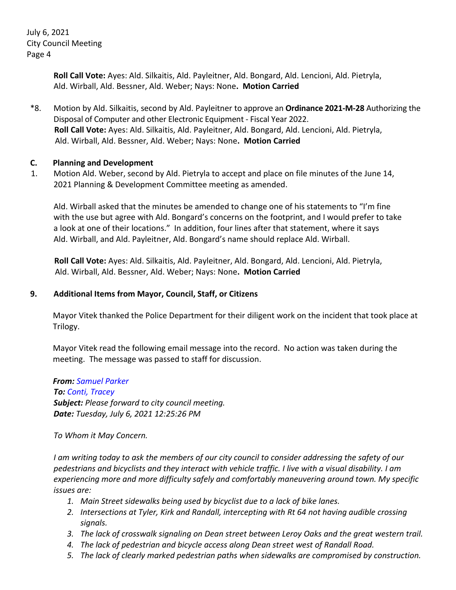July 6, 2021 City Council Meeting Page 4

> **Roll Call Vote:** Ayes: Ald. Silkaitis, Ald. Payleitner, Ald. Bongard, Ald. Lencioni, Ald. Pietryla, Ald. Wirball, Ald. Bessner, Ald. Weber; Nays: None**. Motion Carried**

\*8. Motion by Ald. Silkaitis, second by Ald. Payleitner to approve an **Ordinance 2021-M-28** Authorizing the Disposal of Computer and other Electronic Equipment - Fiscal Year 2022. **Roll Call Vote:** Ayes: Ald. Silkaitis, Ald. Payleitner, Ald. Bongard, Ald. Lencioni, Ald. Pietryla, Ald. Wirball, Ald. Bessner, Ald. Weber; Nays: None**. Motion Carried**

#### **C. Planning and Development**

 1. Motion Ald. Weber, second by Ald. Pietryla to accept and place on file minutes of the June 14, 2021 Planning & Development Committee meeting as amended.

Ald. Wirball asked that the minutes be amended to change one of his statements to "I'm fine with the use but agree with Ald. Bongard's concerns on the footprint, and I would prefer to take a look at one of their locations." In addition, four lines after that statement, where it says Ald. Wirball, and Ald. Payleitner, Ald. Bongard's name should replace Ald. Wirball.

**Roll Call Vote:** Ayes: Ald. Silkaitis, Ald. Payleitner, Ald. Bongard, Ald. Lencioni, Ald. Pietryla, Ald. Wirball, Ald. Bessner, Ald. Weber; Nays: None**. Motion Carried**

### **9. Additional Items from Mayor, Council, Staff, or Citizens**

Mayor Vitek thanked the Police Department for their diligent work on the incident that took place at Trilogy.

Mayor Vitek read the following email message into the record. No action was taken during the meeting. The message was passed to staff for discussion.

*From: Samuel Parker To: Conti, Tracey Subject: Please forward to city council meeting. Date: Tuesday, July 6, 2021 12:25:26 PM*

*To Whom it May Concern.*

*I am writing today to ask the members of our city council to consider addressing the safety of our pedestrians and bicyclists and they interact with vehicle traffic. I live with a visual disability. I am experiencing more and more difficulty safely and comfortably maneuvering around town. My specific issues are:*

- *1. Main Street sidewalks being used by bicyclist due to a lack of bike lanes.*
- *2. Intersections at Tyler, Kirk and Randall, intercepting with Rt 64 not having audible crossing signals.*
- *3. The lack of crosswalk signaling on Dean street between Leroy Oaks and the great western trail.*
- *4. The lack of pedestrian and bicycle access along Dean street west of Randall Road.*
- *5. The lack of clearly marked pedestrian paths when sidewalks are compromised by construction.*